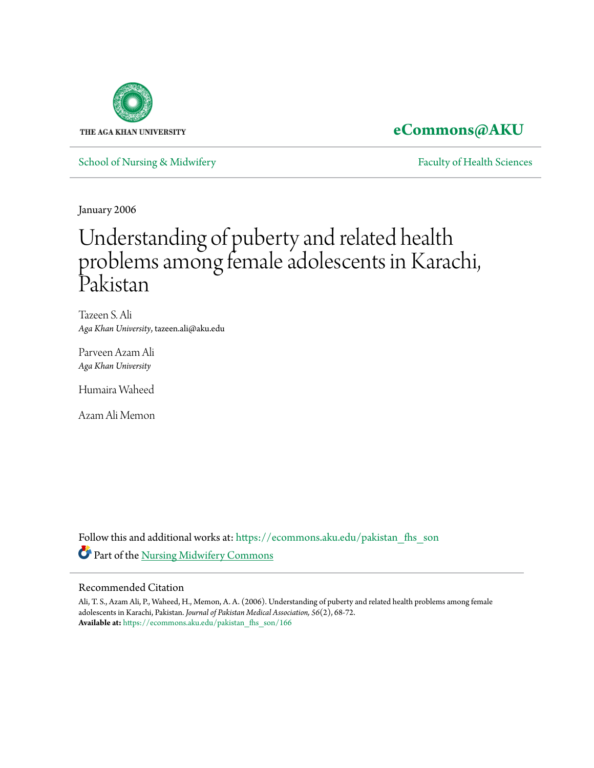

## **[eCommons@AKU](https://ecommons.aku.edu?utm_source=ecommons.aku.edu%2Fpakistan_fhs_son%2F166&utm_medium=PDF&utm_campaign=PDFCoverPages)**

[School of Nursing & Midwifery](https://ecommons.aku.edu/pakistan_fhs_son?utm_source=ecommons.aku.edu%2Fpakistan_fhs_son%2F166&utm_medium=PDF&utm_campaign=PDFCoverPages) **[Faculty of Health Sciences](https://ecommons.aku.edu/pakistan_fhs?utm_source=ecommons.aku.edu%2Fpakistan_fhs_son%2F166&utm_medium=PDF&utm_campaign=PDFCoverPages)** Faculty of Health Sciences

January 2006

# Understanding of puberty and related health problems among female adolescents in Karachi, Pakistan

Tazeen S. Ali *Aga Khan University*, tazeen.ali@aku.edu

Parveen Azam Ali *Aga Khan University*

Humaira Waheed

Azam Ali Memon

Follow this and additional works at: [https://ecommons.aku.edu/pakistan\\_fhs\\_son](https://ecommons.aku.edu/pakistan_fhs_son?utm_source=ecommons.aku.edu%2Fpakistan_fhs_son%2F166&utm_medium=PDF&utm_campaign=PDFCoverPages) Part of the [Nursing Midwifery Commons](http://network.bepress.com/hgg/discipline/722?utm_source=ecommons.aku.edu%2Fpakistan_fhs_son%2F166&utm_medium=PDF&utm_campaign=PDFCoverPages)

#### Recommended Citation

Ali, T. S., Azam Ali, P., Waheed, H., Memon, A. A. (2006). Understanding of puberty and related health problems among female adolescents in Karachi, Pakistan. *Journal of Pakistan Medical Association, 56*(2), 68-72. **Available at:** [https://ecommons.aku.edu/pakistan\\_fhs\\_son/166](https://ecommons.aku.edu/pakistan_fhs_son/166)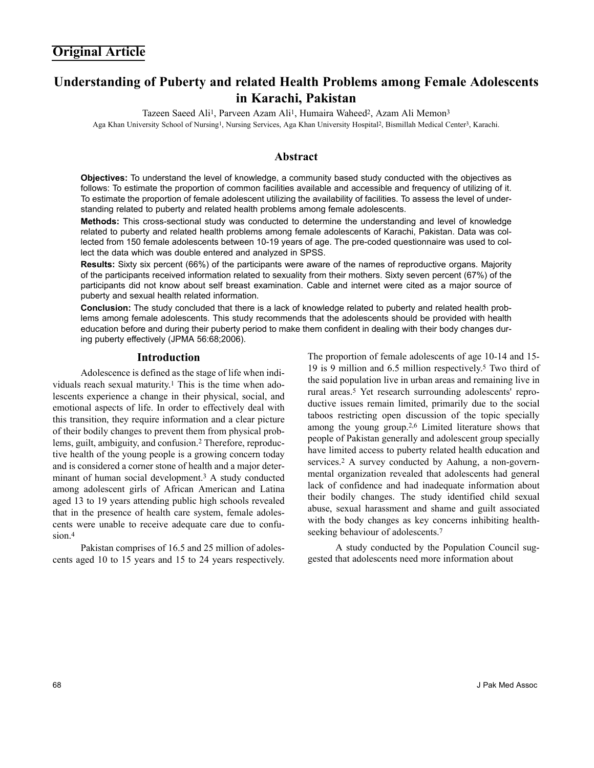### **Understanding of Puberty and related Health Problems among Female Adolescents in Karachi, Pakistan**

Tazeen Saeed Ali<sup>1</sup>, Parveen Azam Ali<sup>1</sup>, Humaira Waheed<sup>2</sup>, Azam Ali Memon<sup>3</sup> Aga Khan University School of Nursing1, Nursing Services, Aga Khan University Hospital2, Bismillah Medical Center3, Karachi.

#### **Abstract**

**Objectives:** To understand the level of knowledge, a community based study conducted with the objectives as follows: To estimate the proportion of common facilities available and accessible and frequency of utilizing of it. To estimate the proportion of female adolescent utilizing the availability of facilities. To assess the level of understanding related to puberty and related health problems among female adolescents.

**Methods:** This cross-sectional study was conducted to determine the understanding and level of knowledge related to puberty and related health problems among female adolescents of Karachi, Pakistan. Data was collected from 150 female adolescents between 10-19 years of age. The pre-coded questionnaire was used to collect the data which was double entered and analyzed in SPSS.

**Results:** Sixty six percent (66%) of the participants were aware of the names of reproductive organs. Majority of the participants received information related to sexuality from their mothers. Sixty seven percent (67%) of the participants did not know about self breast examination. Cable and internet were cited as a major source of puberty and sexual health related information.

**Conclusion:** The study concluded that there is a lack of knowledge related to puberty and related health problems among female adolescents. This study recommends that the adolescents should be provided with health education before and during their puberty period to make them confident in dealing with their body changes during puberty effectively (JPMA 56:68;2006).

#### **Introduction**

Adolescence is defined as the stage of life when individuals reach sexual maturity.1 This is the time when adolescents experience a change in their physical, social, and emotional aspects of life. In order to effectively deal with this transition, they require information and a clear picture of their bodily changes to prevent them from physical problems, guilt, ambiguity, and confusion.2 Therefore, reproductive health of the young people is a growing concern today and is considered a corner stone of health and a major determinant of human social development.3 A study conducted among adolescent girls of African American and Latina aged 13 to 19 years attending public high schools revealed that in the presence of health care system, female adolescents were unable to receive adequate care due to confusion 4

Pakistan comprises of 16.5 and 25 million of adolescents aged 10 to 15 years and 15 to 24 years respectively.

The proportion of female adolescents of age 10-14 and 15- 19 is 9 million and 6.5 million respectively.5 Two third of the said population live in urban areas and remaining live in rural areas.5 Yet research surrounding adolescents' reproductive issues remain limited, primarily due to the social taboos restricting open discussion of the topic specially among the young group.2,6 Limited literature shows that people of Pakistan generally and adolescent group specially have limited access to puberty related health education and services.2 A survey conducted by Aahung, a non-governmental organization revealed that adolescents had general lack of confidence and had inadequate information about their bodily changes. The study identified child sexual abuse, sexual harassment and shame and guilt associated with the body changes as key concerns inhibiting healthseeking behaviour of adolescents.7

A study conducted by the Population Council suggested that adolescents need more information about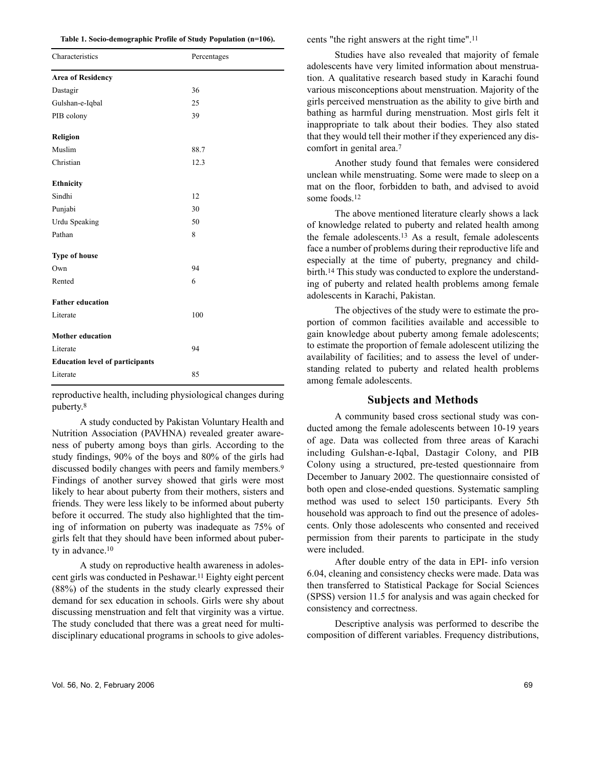| Characteristics                        | Percentages |
|----------------------------------------|-------------|
| <b>Area of Residency</b>               |             |
| Dastagir                               | 36          |
| Gulshan-e-Iqbal                        | 25          |
| PIB colony                             | 39          |
| <b>Religion</b>                        |             |
| Muslim                                 | 88.7        |
| Christian                              | 12.3        |
| Ethnicity                              |             |
| Sindhi                                 | 12          |
| Punjabi                                | 30          |
| Urdu Speaking                          | 50          |
| Pathan                                 | 8           |
| <b>Type of house</b>                   |             |
| Own                                    | 94          |
| Rented                                 | 6           |
| <b>Father education</b>                |             |
| Literate                               | 100         |
| <b>Mother education</b>                |             |
| Literate                               | 94          |
| <b>Education level of participants</b> |             |
| Literate                               | 85          |

reproductive health, including physiological changes during puberty.8

A study conducted by Pakistan Voluntary Health and Nutrition Association (PAVHNA) revealed greater awareness of puberty among boys than girls. According to the study findings, 90% of the boys and 80% of the girls had discussed bodily changes with peers and family members.<sup>9</sup> Findings of another survey showed that girls were most likely to hear about puberty from their mothers, sisters and friends. They were less likely to be informed about puberty before it occurred. The study also highlighted that the timing of information on puberty was inadequate as 75% of girls felt that they should have been informed about puberty in advance.10

A study on reproductive health awareness in adolescent girls was conducted in Peshawar.11 Eighty eight percent (88%) of the students in the study clearly expressed their demand for sex education in schools. Girls were shy about discussing menstruation and felt that virginity was a virtue. The study concluded that there was a great need for multidisciplinary educational programs in schools to give adolescents "the right answers at the right time".11

Studies have also revealed that majority of female adolescents have very limited information about menstruation. A qualitative research based study in Karachi found various misconceptions about menstruation. Majority of the girls perceived menstruation as the ability to give birth and bathing as harmful during menstruation. Most girls felt it inappropriate to talk about their bodies. They also stated that they would tell their mother if they experienced any discomfort in genital area.7

Another study found that females were considered unclean while menstruating. Some were made to sleep on a mat on the floor, forbidden to bath, and advised to avoid some foods.12

The above mentioned literature clearly shows a lack of knowledge related to puberty and related health among the female adolescents.13 As a result, female adolescents face a number of problems during their reproductive life and especially at the time of puberty, pregnancy and childbirth.14 This study was conducted to explore the understanding of puberty and related health problems among female adolescents in Karachi, Pakistan.

The objectives of the study were to estimate the proportion of common facilities available and accessible to gain knowledge about puberty among female adolescents; to estimate the proportion of female adolescent utilizing the availability of facilities; and to assess the level of understanding related to puberty and related health problems among female adolescents.

#### **Subjects and Methods**

A community based cross sectional study was conducted among the female adolescents between 10-19 years of age. Data was collected from three areas of Karachi including Gulshan-e-Iqbal, Dastagir Colony, and PIB Colony using a structured, pre-tested questionnaire from December to January 2002. The questionnaire consisted of both open and close-ended questions. Systematic sampling method was used to select 150 participants. Every 5th household was approach to find out the presence of adolescents. Only those adolescents who consented and received permission from their parents to participate in the study were included.

After double entry of the data in EPI- info version 6.04, cleaning and consistency checks were made. Data was then transferred to Statistical Package for Social Sciences (SPSS) version 11.5 for analysis and was again checked for consistency and correctness.

Descriptive analysis was performed to describe the composition of different variables. Frequency distributions,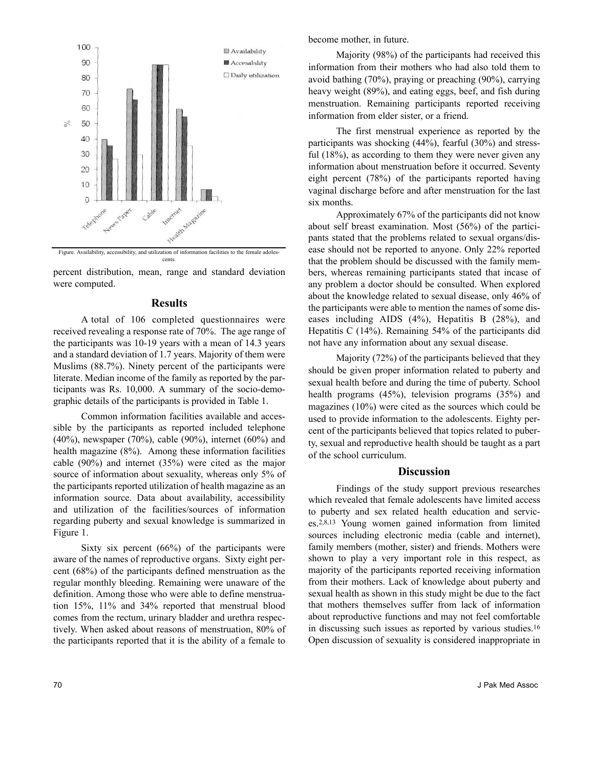

percent distribution, mean, range and standard deviation were computed.

#### **Results**

A total of 106 completed questionnaires were received revealing a response rate of 70%. The age range of the participants was 10-19 years with a mean of 14.3 years and a standard deviation of 1.7 years. Majority of them were Muslims (88.7%). Ninety percent of the participants were literate. Median income of the family as reported by the participants was Rs. 10,000. A summary of the socio-demographic details of the participants is provided in Table 1.

Common information facilities available and accessible by the participants as reported included telephone (40%), newspaper (70%), cable (90%), internet (60%) and health magazine (8%). Among these information facilities cable (90%) and internet (35%) were cited as the major source of information about sexuality, whereas only 5% of the participants reported utilization of health magazine as an information source. Data about availability, accessibility and utilization of the facilities/sources of information regarding puberty and sexual knowledge is summarized in Figure 1.

Sixty six percent (66%) of the participants were aware of the names of reproductive organs. Sixty eight percent (68%) of the participants defined menstruation as the regular monthly bleeding. Remaining were unaware of the definition. Among those who were able to define menstruation 15%, 11% and 34% reported that menstrual blood comes from the rectum, urinary bladder and urethra respectively. When asked about reasons of menstruation, 80% of the participants reported that it is the ability of a female to

become mother, in future.

Majority (98%) of the participants had received this information from their mothers who had also told them to avoid bathing (70%), praying or preaching (90%), carrying heavy weight (89%), and eating eggs, beef, and fish during menstruation. Remaining participants reported receiving information from elder sister, or a friend.

The first menstrual experience as reported by the participants was shocking (44%), fearful (30%) and stressful (18%), as according to them they were never given any information about menstruation before it occurred. Seventy eight percent (78%) of the participants reported having vaginal discharge before and after menstruation for the last six months.

Approximately 67% of the participants did not know about self breast examination. Most (56%) of the participants stated that the problems related to sexual organs/disease should not be reported to anyone. Only 22% reported that the problem should be discussed with the family members, whereas remaining participants stated that incase of any problem a doctor should be consulted. When explored about the knowledge related to sexual disease, only 46% of the participants were able to mention the names of some diseases including AIDS (4%), Hepatitis B (28%), and Hepatitis C (14%). Remaining 54% of the participants did not have any information about any sexual disease.

Majority (72%) of the participants believed that they should be given proper information related to puberty and sexual health before and during the time of puberty. School health programs (45%), television programs (35%) and magazines (10%) were cited as the sources which could be used to provide information to the adolescents. Eighty percent of the participants believed that topics related to puberty, sexual and reproductive health should be taught as a part of the school curriculum.

#### **Discussion**

Findings of the study support previous researches which revealed that female adolescents have limited access to puberty and sex related health education and services.2,8,13 Young women gained information from limited sources including electronic media (cable and internet), family members (mother, sister) and friends. Mothers were shown to play a very important role in this respect, as majority of the participants reported receiving information from their mothers. Lack of knowledge about puberty and sexual health as shown in this study might be due to the fact that mothers themselves suffer from lack of information about reproductive functions and may not feel comfortable in discussing such issues as reported by various studies.16 Open discussion of sexuality is considered inappropriate in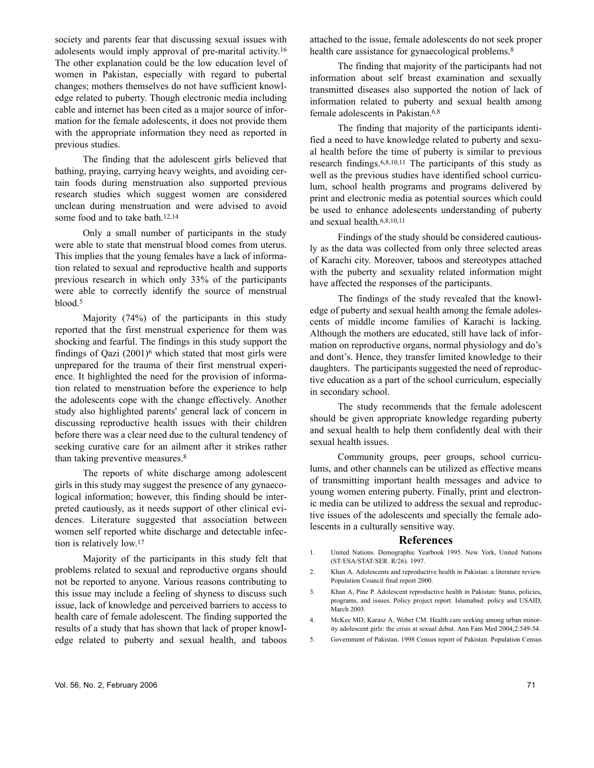society and parents fear that discussing sexual issues with adolesents would imply approval of pre-marital activity.16 The other explanation could be the low education level of women in Pakistan, especially with regard to pubertal changes; mothers themselves do not have sufficient knowledge related to puberty. Though electronic media including cable and internet has been cited as a major source of information for the female adolescents, it does not provide them with the appropriate information they need as reported in previous studies.

The finding that the adolescent girls believed that bathing, praying, carrying heavy weights, and avoiding certain foods during menstruation also supported previous research studies which suggest women are considered unclean during menstruation and were advised to avoid some food and to take bath.12,14

Only a small number of participants in the study were able to state that menstrual blood comes from uterus. This implies that the young females have a lack of information related to sexual and reproductive health and supports previous research in which only 33% of the participants were able to correctly identify the source of menstrual blood.5

Majority (74%) of the participants in this study reported that the first menstrual experience for them was shocking and fearful. The findings in this study support the findings of Qazi (2001)6 which stated that most girls were unprepared for the trauma of their first menstrual experience. It highlighted the need for the provision of information related to menstruation before the experience to help the adolescents cope with the change effectively. Another study also highlighted parents' general lack of concern in discussing reproductive health issues with their children before there was a clear need due to the cultural tendency of seeking curative care for an ailment after it strikes rather than taking preventive measures.8

The reports of white discharge among adolescent girls in this study may suggest the presence of any gynaecological information; however, this finding should be interpreted cautiously, as it needs support of other clinical evidences. Literature suggested that association between women self reported white discharge and detectable infection is relatively low.17

Majority of the participants in this study felt that problems related to sexual and reproductive organs should not be reported to anyone. Various reasons contributing to this issue may include a feeling of shyness to discuss such issue, lack of knowledge and perceived barriers to access to health care of female adolescent. The finding supported the results of a study that has shown that lack of proper knowledge related to puberty and sexual health, and taboos attached to the issue, female adolescents do not seek proper health care assistance for gynaecological problems.<sup>8</sup>

The finding that majority of the participants had not information about self breast examination and sexually transmitted diseases also supported the notion of lack of information related to puberty and sexual health among female adolescents in Pakistan.6,8

The finding that majority of the participants identified a need to have knowledge related to puberty and sexual health before the time of puberty is similar to previous research findings.6,8,10,11 The participants of this study as well as the previous studies have identified school curriculum, school health programs and programs delivered by print and electronic media as potential sources which could be used to enhance adolescents understanding of puberty and sexual health.6,8,10,11

Findings of the study should be considered cautiously as the data was collected from only three selected areas of Karachi city. Moreover, taboos and stereotypes attached with the puberty and sexuality related information might have affected the responses of the participants.

The findings of the study revealed that the knowledge of puberty and sexual health among the female adolescents of middle income families of Karachi is lacking. Although the mothers are educated, still have lack of information on reproductive organs, normal physiology and do's and dont's. Hence, they transfer limited knowledge to their daughters. The participants suggested the need of reproductive education as a part of the school curriculum, especially in secondary school.

The study recommends that the female adolescent should be given appropriate knowledge regarding puberty and sexual health to help them confidently deal with their sexual health issues.

Community groups, peer groups, school curriculums, and other channels can be utilized as effective means of transmitting important health messages and advice to young women entering puberty. Finally, print and electronic media can be utilized to address the sexual and reproductive issues of the adolescents and specially the female adolescents in a culturally sensitive way.

#### **References**

- 1. United Nations. Demographic Yearbook 1995. New York, United Nations (ST/ESA/STAT/SER. R/26). 1997.
- 2. Khan A. Adolescents and reproductive health in Pakistan: a literature review. Population Council final report 2000.
- 3. Khan A, Pine P. Adolescent reproductive health in Pakistan: Status, policies, programs, and issues. Policy project report. Islamabad: policy and USAID, March 2003.
- 4. McKee MD, Karasz A, Weber CM. Health care seeking among urban minority adolescent girls: the crisis at sexual debut. Ann Fam Med 2004;2:549-54.
- 5. Government of Pakistan. 1998 Census report of Pakistan. Population Census